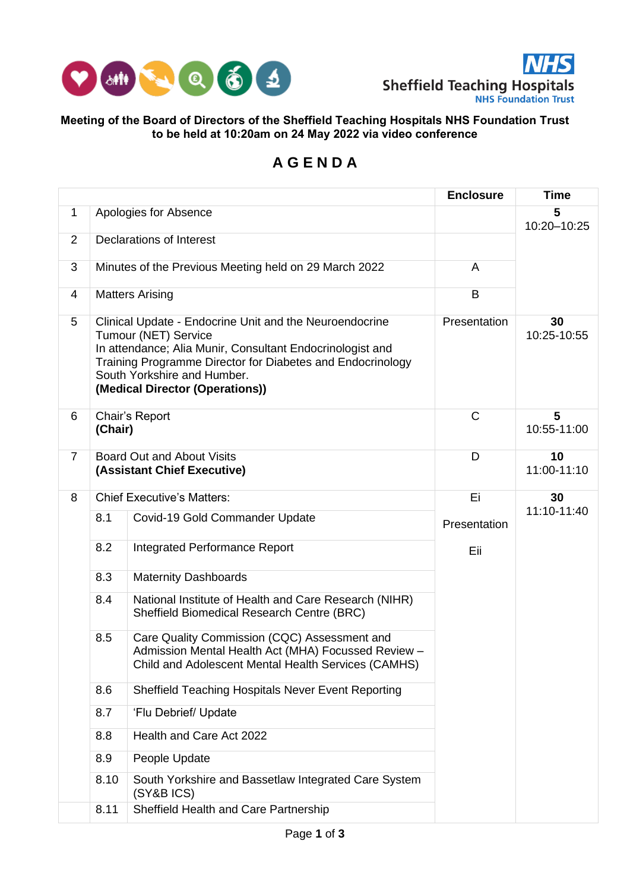



## **Meeting of the Board of Directors of the Sheffield Teaching Hospitals NHS Foundation Trust to be held at 10:20am on 24 May 2022 via video conference**

## **A G E N D A**

|                |                                                                  |                                                                                                                                                                                                                                                                                     | <b>Enclosure</b> | <b>Time</b>       |  |
|----------------|------------------------------------------------------------------|-------------------------------------------------------------------------------------------------------------------------------------------------------------------------------------------------------------------------------------------------------------------------------------|------------------|-------------------|--|
| $\mathbf{1}$   |                                                                  | Apologies for Absence                                                                                                                                                                                                                                                               | 5<br>10:20-10:25 |                   |  |
| $\overline{2}$ |                                                                  | Declarations of Interest                                                                                                                                                                                                                                                            |                  |                   |  |
| 3              |                                                                  | Minutes of the Previous Meeting held on 29 March 2022                                                                                                                                                                                                                               | A                |                   |  |
| 4              |                                                                  | <b>Matters Arising</b>                                                                                                                                                                                                                                                              | B                |                   |  |
| 5              |                                                                  | Clinical Update - Endocrine Unit and the Neuroendocrine<br><b>Tumour (NET) Service</b><br>In attendance; Alia Munir, Consultant Endocrinologist and<br>Training Programme Director for Diabetes and Endocrinology<br>South Yorkshire and Humber.<br>(Medical Director (Operations)) | Presentation     | 30<br>10:25-10:55 |  |
| 6              | Chair's Report<br>(Chair)                                        |                                                                                                                                                                                                                                                                                     | $\mathsf{C}$     | 5<br>10:55-11:00  |  |
| $\overline{7}$ | <b>Board Out and About Visits</b><br>(Assistant Chief Executive) |                                                                                                                                                                                                                                                                                     | D                | 10<br>11:00-11:10 |  |
| 8              | <b>Chief Executive's Matters:</b>                                |                                                                                                                                                                                                                                                                                     | Ei               | 30                |  |
|                | 8.1                                                              | Covid-19 Gold Commander Update                                                                                                                                                                                                                                                      | Presentation     | 11:10-11:40       |  |
|                | 8.2                                                              | <b>Integrated Performance Report</b>                                                                                                                                                                                                                                                | Eii              |                   |  |
|                | 8.3                                                              | <b>Maternity Dashboards</b>                                                                                                                                                                                                                                                         |                  |                   |  |
|                | 8.4                                                              | National Institute of Health and Care Research (NIHR)<br>Sheffield Biomedical Research Centre (BRC)                                                                                                                                                                                 |                  |                   |  |
|                | 8.5                                                              | Care Quality Commission (CQC) Assessment and<br>Admission Mental Health Act (MHA) Focussed Review -<br>Child and Adolescent Mental Health Services (CAMHS)                                                                                                                          |                  |                   |  |
|                | 8.6                                                              | Sheffield Teaching Hospitals Never Event Reporting                                                                                                                                                                                                                                  |                  |                   |  |
|                | 8.7                                                              | 'Flu Debrief/ Update                                                                                                                                                                                                                                                                |                  |                   |  |
|                | 8.8                                                              | Health and Care Act 2022                                                                                                                                                                                                                                                            |                  |                   |  |
|                | 8.9                                                              | People Update                                                                                                                                                                                                                                                                       |                  |                   |  |
|                | 8.10                                                             | South Yorkshire and Bassetlaw Integrated Care System<br>(SY&B ICS)                                                                                                                                                                                                                  |                  |                   |  |
|                | 8.11                                                             | Sheffield Health and Care Partnership                                                                                                                                                                                                                                               |                  |                   |  |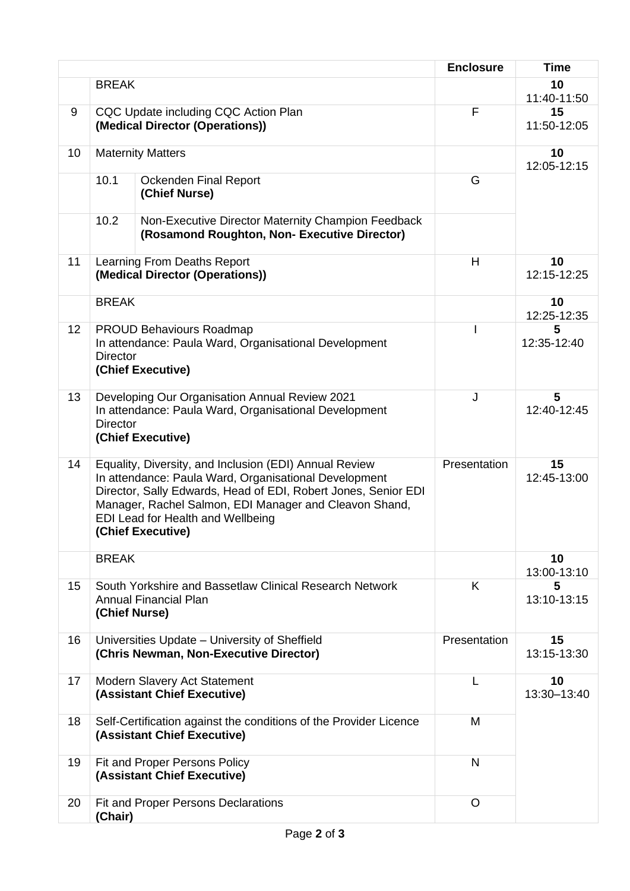|    |                                                                                                                                                                                                                                                                                                       |                                                                                                                              | <b>Enclosure</b> | <b>Time</b>       |
|----|-------------------------------------------------------------------------------------------------------------------------------------------------------------------------------------------------------------------------------------------------------------------------------------------------------|------------------------------------------------------------------------------------------------------------------------------|------------------|-------------------|
|    | <b>BREAK</b>                                                                                                                                                                                                                                                                                          |                                                                                                                              |                  | 10<br>11:40-11:50 |
| 9  | CQC Update including CQC Action Plan<br>(Medical Director (Operations))                                                                                                                                                                                                                               |                                                                                                                              | F                | 15<br>11:50-12:05 |
| 10 | <b>Maternity Matters</b>                                                                                                                                                                                                                                                                              |                                                                                                                              |                  | 10<br>12:05-12:15 |
|    | 10.1                                                                                                                                                                                                                                                                                                  | Ockenden Final Report<br>(Chief Nurse)                                                                                       | G                |                   |
|    | 10.2                                                                                                                                                                                                                                                                                                  | Non-Executive Director Maternity Champion Feedback<br>(Rosamond Roughton, Non- Executive Director)                           |                  |                   |
| 11 | Learning From Deaths Report<br>(Medical Director (Operations))                                                                                                                                                                                                                                        |                                                                                                                              | H                | 10<br>12:15-12:25 |
|    | <b>BREAK</b>                                                                                                                                                                                                                                                                                          |                                                                                                                              |                  | 10<br>12:25-12:35 |
| 12 | <b>Director</b>                                                                                                                                                                                                                                                                                       | <b>PROUD Behaviours Roadmap</b><br>In attendance: Paula Ward, Organisational Development<br>(Chief Executive)                | $\mathsf{l}$     | 5<br>12:35-12:40  |
| 13 | <b>Director</b>                                                                                                                                                                                                                                                                                       | Developing Our Organisation Annual Review 2021<br>In attendance: Paula Ward, Organisational Development<br>(Chief Executive) | J                | 5<br>12:40-12:45  |
| 14 | Equality, Diversity, and Inclusion (EDI) Annual Review<br>In attendance: Paula Ward, Organisational Development<br>Director, Sally Edwards, Head of EDI, Robert Jones, Senior EDI<br>Manager, Rachel Salmon, EDI Manager and Cleavon Shand,<br>EDI Lead for Health and Wellbeing<br>(Chief Executive) |                                                                                                                              | Presentation     | 15<br>12:45-13:00 |
|    | <b>BREAK</b>                                                                                                                                                                                                                                                                                          |                                                                                                                              |                  | 10<br>13:00-13:10 |
| 15 | South Yorkshire and Bassetlaw Clinical Research Network<br><b>Annual Financial Plan</b><br>(Chief Nurse)                                                                                                                                                                                              |                                                                                                                              | K                | 5<br>13:10-13:15  |
| 16 |                                                                                                                                                                                                                                                                                                       | Universities Update - University of Sheffield<br>(Chris Newman, Non-Executive Director)                                      | Presentation     | 15<br>13:15-13:30 |
| 17 |                                                                                                                                                                                                                                                                                                       | Modern Slavery Act Statement<br>(Assistant Chief Executive)                                                                  | L                | 10<br>13:30-13:40 |
| 18 |                                                                                                                                                                                                                                                                                                       | Self-Certification against the conditions of the Provider Licence<br>(Assistant Chief Executive)                             | M                |                   |
| 19 |                                                                                                                                                                                                                                                                                                       | Fit and Proper Persons Policy<br>(Assistant Chief Executive)                                                                 | $\mathsf{N}$     |                   |
| 20 | (Chair)                                                                                                                                                                                                                                                                                               | <b>Fit and Proper Persons Declarations</b>                                                                                   | $\circ$          |                   |